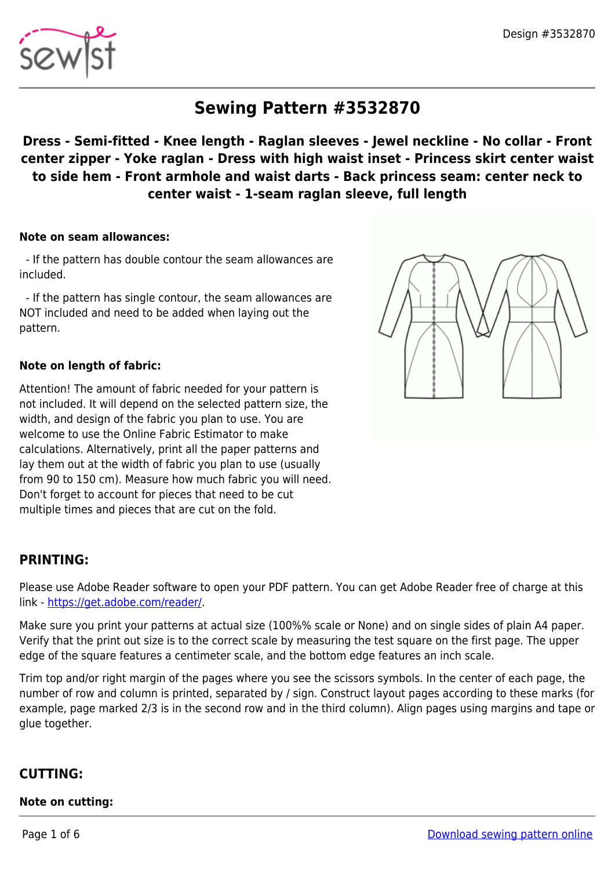

# **Sewing Pattern #3532870**

# **Dress - Semi-fitted - Knee length - Raglan sleeves - Jewel neckline - No collar - Front center zipper - Yoke raglan - Dress with high waist inset - Princess skirt center waist to side hem - Front armhole and waist darts - Back princess seam: center neck to center waist - 1-seam raglan sleeve, full length**

#### **Note on seam allowances:**

 - If the pattern has double contour the seam allowances are included.

 - If the pattern has single contour, the seam allowances are NOT included and need to be added when laying out the pattern.

#### **Note on length of fabric:**

Attention! The amount of fabric needed for your pattern is not included. It will depend on the selected pattern size, the width, and design of the fabric you plan to use. You are welcome to use the Online Fabric Estimator to make calculations. Alternatively, print all the paper patterns and lay them out at the width of fabric you plan to use (usually from 90 to 150 cm). Measure how much fabric you will need. Don't forget to account for pieces that need to be cut multiple times and pieces that are cut on the fold.

## **PRINTING:**

Please use Adobe Reader software to open your PDF pattern. You can get Adobe Reader free of charge at this link -<https://get.adobe.com/reader/>.

Make sure you print your patterns at actual size (100%% scale or None) and on single sides of plain A4 paper. Verify that the print out size is to the correct scale by measuring the test square on the first page. The upper edge of the square features a centimeter scale, and the bottom edge features an inch scale.

Trim top and/or right margin of the pages where you see the scissors symbols. In the center of each page, the number of row and column is printed, separated by / sign. Construct layout pages according to these marks (for example, page marked 2/3 is in the second row and in the third column). Align pages using margins and tape or glue together.

#### **CUTTING:**

#### **Note on cutting:**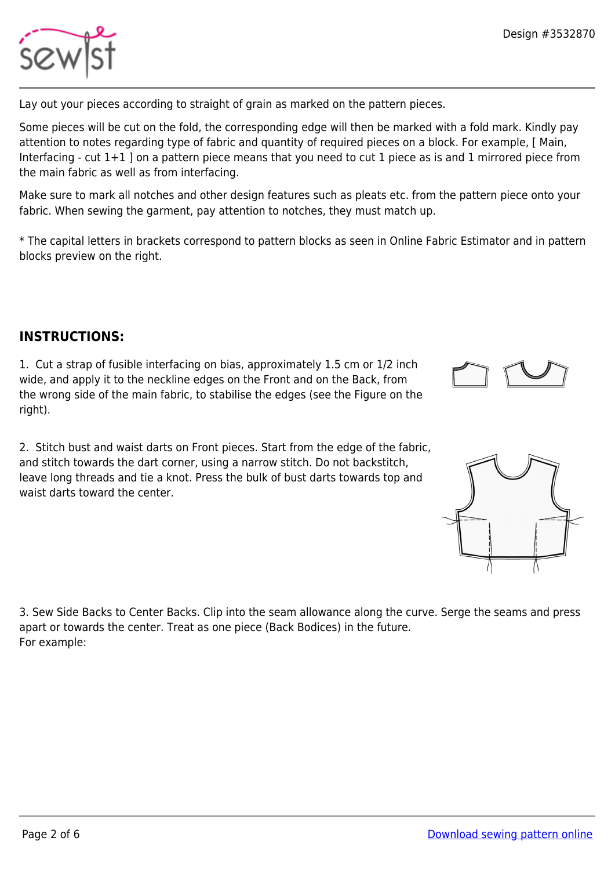

Lay out your pieces according to straight of grain as marked on the pattern pieces.

Some pieces will be cut on the fold, the corresponding edge will then be marked with a fold mark. Kindly pay attention to notes regarding type of fabric and quantity of required pieces on a block. For example, [ Main, Interfacing - cut 1+1 ] on a pattern piece means that you need to cut 1 piece as is and 1 mirrored piece from the main fabric as well as from interfacing.

Make sure to mark all notches and other design features such as pleats etc. from the pattern piece onto your fabric. When sewing the garment, pay attention to notches, they must match up.

\* The capital letters in brackets correspond to pattern blocks as seen in Online Fabric Estimator and in pattern blocks preview on the right.

# **INSTRUCTIONS:**

1. Cut a strap of fusible interfacing on bias, approximately 1.5 cm or 1/2 inch wide, and apply it to the neckline edges on the Front and on the Back, from the wrong side of the main fabric, to stabilise the edges (see the Figure on the right).

2. Stitch bust and waist darts on Front pieces. Start from the edge of the fabric, and stitch towards the dart corner, using a narrow stitch. Do not backstitch, leave long threads and tie a knot. Press the bulk of bust darts towards top and waist darts toward the center.

3. Sew Side Backs to Center Backs. Clip into the seam allowance along the curve. Serge the seams and press apart or towards the center. Treat as one piece (Back Bodices) in the future. For example:



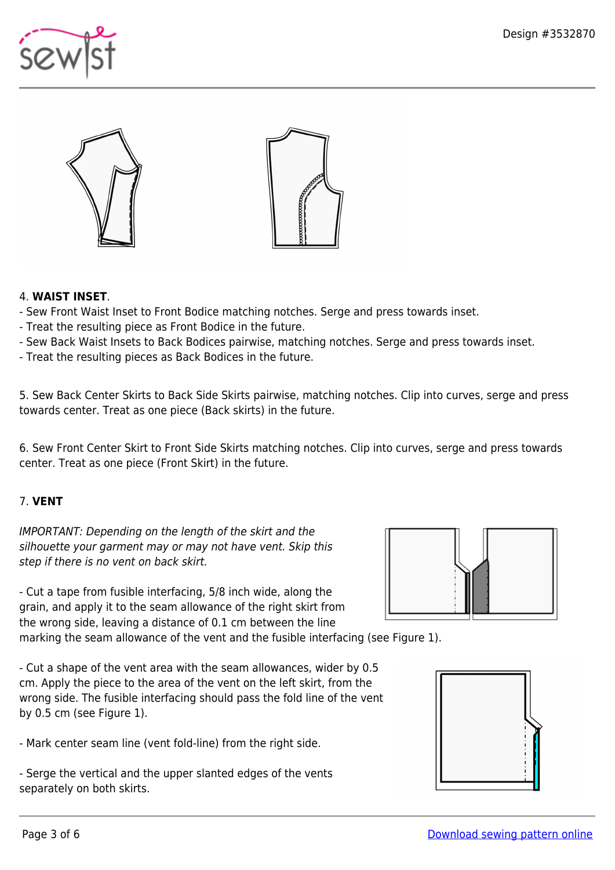





### 4. **WAIST INSET**.

- Sew Front Waist Inset to Front Bodice matching notches. Serge and press towards inset.
- Treat the resulting piece as Front Bodice in the future.
- Sew Back Waist Insets to Back Bodices pairwise, matching notches. Serge and press towards inset.
- Treat the resulting pieces as Back Bodices in the future.

5. Sew Back Center Skirts to Back Side Skirts pairwise, matching notches. Clip into curves, serge and press towards center. Treat as one piece (Back skirts) in the future.

6. Sew Front Center Skirt to Front Side Skirts matching notches. Clip into curves, serge and press towards center. Treat as one piece (Front Skirt) in the future.

## 7. **VENT**

IMPORTANT: Depending on the length of the skirt and the silhouette your garment may or may not have vent. Skip this step if there is no vent on back skirt.

- Cut a tape from fusible interfacing, 5/8 inch wide, along the grain, and apply it to the seam allowance of the right skirt from the wrong side, leaving a distance of 0.1 cm between the line

marking the seam allowance of the vent and the fusible interfacing (see Figure 1).

- Cut a shape of the vent area with the seam allowances, wider by 0.5 cm. Apply the piece to the area of the vent on the left skirt, from the wrong side. The fusible interfacing should pass the fold line of the vent by 0.5 cm (see Figure 1).

- Mark center seam line (vent fold-line) from the right side.

- Serge the vertical and the upper slanted edges of the vents separately on both skirts.



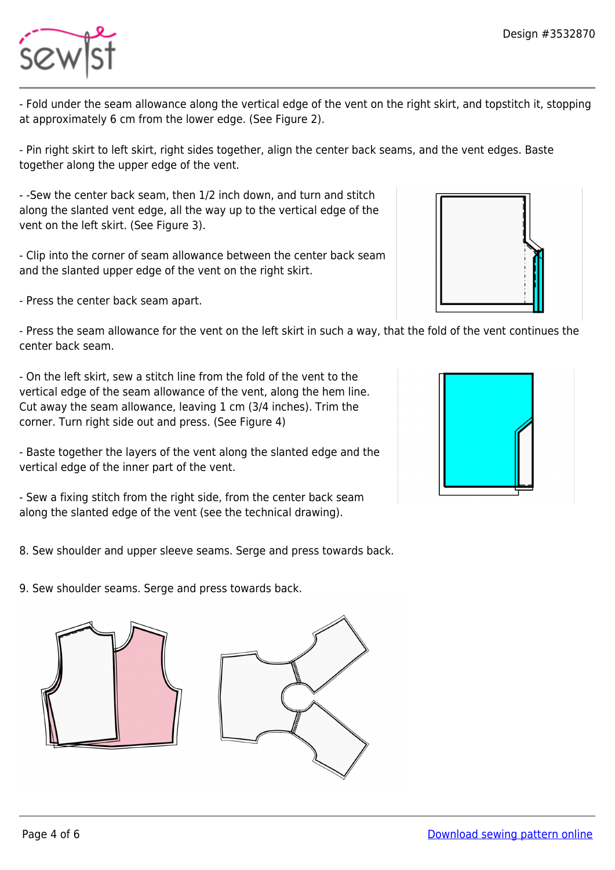

- Fold under the seam allowance along the vertical edge of the vent on the right skirt, and topstitch it, stopping at approximately 6 cm from the lower edge. (See Figure 2).

- Pin right skirt to left skirt, right sides together, align the center back seams, and the vent edges. Baste together along the upper edge of the vent.

- -Sew the center back seam, then 1/2 inch down, and turn and stitch along the slanted vent edge, all the way up to the vertical edge of the vent on the left skirt. (See Figure 3).

- Clip into the corner of seam allowance between the center back seam and the slanted upper edge of the vent on the right skirt.

- Press the center back seam apart.

- Press the seam allowance for the vent on the left skirt in such a way, that the fold of the vent continues the center back seam.

- On the left skirt, sew a stitch line from the fold of the vent to the vertical edge of the seam allowance of the vent, along the hem line. Cut away the seam allowance, leaving 1 cm (3/4 inches). Trim the corner. Turn right side out and press. (See Figure 4)

- Baste together the layers of the vent along the slanted edge and the vertical edge of the inner part of the vent.

- Sew a fixing stitch from the right side, from the center back seam along the slanted edge of the vent (see the technical drawing).

8. Sew shoulder and upper sleeve seams. Serge and press towards back.

9. Sew shoulder seams. Serge and press towards back.







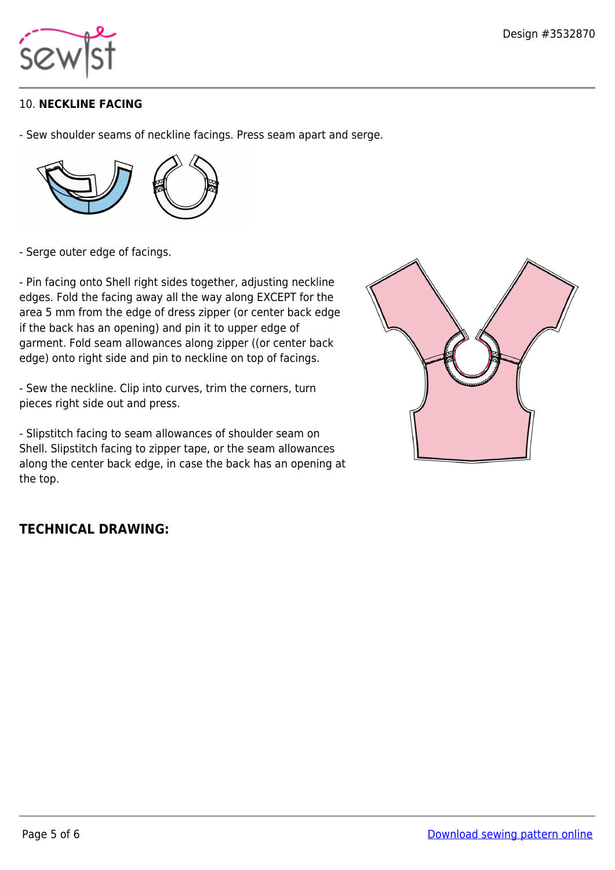

# 10. **NECKLINE FACING**

- Sew shoulder seams of neckline facings. Press seam apart and serge.



- Serge outer edge of facings.

- Pin facing onto Shell right sides together, adjusting neckline edges. Fold the facing away all the way along EXCEPT for the area 5 mm from the edge of dress zipper (or center back edge if the back has an opening) and pin it to upper edge of garment. Fold seam allowances along zipper ((or center back edge) onto right side and pin to neckline on top of facings.

- Sew the neckline. Clip into curves, trim the corners, turn pieces right side out and press.

- Slipstitch facing to seam allowances of shoulder seam on Shell. Slipstitch facing to zipper tape, or the seam allowances along the center back edge, in case the back has an opening at the top.

# **TECHNICAL DRAWING:**